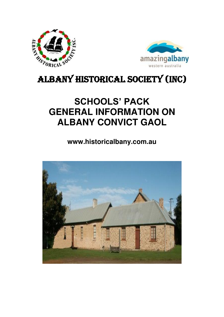



# Albany historical society (Inc)

# **SCHOOLS' PACK GENERAL INFORMATION ON ALBANY CONVICT GAOL**

**www.historicalbany.com.au** 

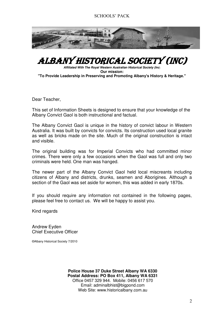

## ALBANY HISTORICAL SOCIETY (Inc)

*Affiliated With The Royal Western Australian Historical Society (Inc*) **Our mission: "To Provide Leadership in Preserving and Promoting Albany's History & Heritage."**

Dear Teacher,

This set of Information Sheets is designed to ensure that your knowledge of the Albany Convict Gaol is both instructional and factual.

The Albany Convict Gaol is unique in the history of convict labour in Western Australia. It was built by convicts for convicts. Its construction used local granite as well as bricks made on the site. Much of the original construction is intact and visible.

The original building was for Imperial Convicts who had committed minor crimes. There were only a few occasions when the Gaol was full and only two criminals were held. One man was hanged.

The newer part of the Albany Convict Gaol held local miscreants including citizens of Albany and districts, drunks, seamen and Aborigines. Although a section of the Gaol was set aside for women, this was added in early 1870s.

If you should require any information not contained in the following pages, please feel free to contact us. We will be happy to assist you.

Kind regards

Andrew Eyden Chief Executive Officer

©Albany Historical Society 7/2010

**Police House 37 Duke Street Albany WA 6330 Postal Address: PO Box 411, Albany WA 6331**  Office 0457 329 944. Mobile: 0456 617 570 Email: [adminalbhist@bigpond.com](mailto:adminalbhist@bigpond.com)  Web Site: www.historicalbany.com.au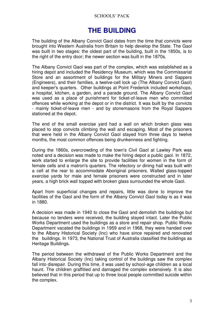#### **THE BUILDING**

The building of the Albany Convict Gaol dates from the time that convicts were brought into Western Australia from Britain to help develop the State. The Gaol was built in two stages: the oldest part of the building, built in the 1850s, is to the right of the entry door; the newer section was built in the 1870s.

The Albany Convict Gaol was part of the complex, which was established as a hiring depot and included the Residency Museum, which was the Commissariat Store and an assortment of buildings for the Military Miners and Sappers (Engineers), and their families, a twelve-cell lock up (The Albany Convict Gaol) and keeper's quarters. Other buildings at Point Frederick included workshops, a hospital, kitchen, a garden, and a parade ground. The Albany Convict Gaol was used as a place of punishment for ticket-of-leave men who committed offences while working at the depot or in the district. It was built by the convicts - mainly ticket-of-leave men - and by stonemasons from the Royal Sappers stationed at the depot.

The end of the small exercise yard had a wall on which broken glass was placed to stop convicts climbing the wall and escaping. Most of the prisoners that were held in the Albany Convict Gaol stayed from three days to twelve months, the most common offences being drunkenness and fighting.

During the 1860s, overcrowding of the town's Civil Gaol at Lawley Park was noted and a decision was made to make the hiring depot a public gaol. In 1872, work started to enlarge the site to provide facilities for women in the form of female cells and a matron's quarters. The refectory or dining hall was built with a cell at the rear to accommodate Aboriginal prisoners. Walled glass-topped exercise yards for male and female prisoners were constructed and in later years, a high brick wall topped with broken glass surrounded the whole Gaol.

Apart from superficial changes and repairs, little was done to improve the facilities of the Gaol and the form of the Albany Convict Gaol today is as it was in 1880.

A decision was made in 1940 to close the Gaol and demolish the buildings but because no tenders were received, the building stayed intact. Later the Public Works Department used the buildings as a store and repair shop. Public Works Department vacated the buildings in 1959 and in 1968, they were handed over to the Albany Historical Society (Inc) who have since repaired and renovated the buildings. In 1973, the National Trust of Australia classified the buildings as Heritage Buildings.

The period between the withdrawal of the Public Works Department and the Albany Historical Society (Inc) taking control of the buildings saw the complex fall into disrepair. During this time, it was used by school-age children as a local haunt. The children graffitied and damaged the complex extensively. It is also believed that in this period that up to three local people committed suicide within the complex.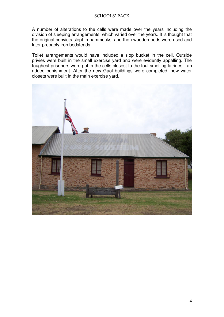A number of alterations to the cells were made over the years including the division of sleeping arrangements, which varied over the years. It is thought that the original convicts slept in hammocks, and then wooden beds were used and later probably iron bedsteads.

Toilet arrangements would have included a slop bucket in the cell. Outside privies were built in the small exercise yard and were evidently appalling. The toughest prisoners were put in the cells closest to the foul smelling latrines - an added punishment. After the new Gaol buildings were completed, new water closets were built in the main exercise yard.

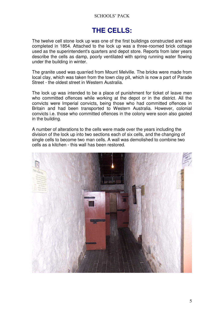## **THE CELLS:**

The twelve cell stone lock up was one of the first buildings constructed and was completed in 1854. Attached to the lock up was a three-roomed brick cottage used as the superintendent's quarters and depot store. Reports from later years describe the cells as damp, poorly ventilated with spring running water flowing under the building in winter.

The granite used was quarried from Mount Melville. The bricks were made from local clay, which was taken from the town clay pit, which is now a part of Parade Street - the oldest street in Western Australia.

The lock up was intended to be a place of punishment for ticket of leave men who committed offences while working at the depot or in the district. All the convicts were Imperial convicts, being those who had committed offences in Britain and had been transported to Western Australia. However, colonial convicts i.e. those who committed offences in the colony were soon also gaoled in the building.

A number of alterations to the cells were made over the years including the division of the lock up into two sections each of six cells, and the changing of single cells to become two man cells. A wall was demolished to combine two cells as a kitchen - this wall has been restored.

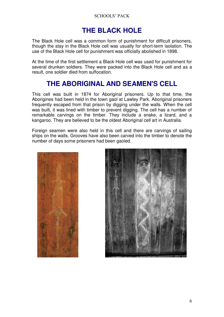## **THE BLACK HOLE**

The Black Hole cell was a common form of punishment for difficult prisoners, though the stay in the Black Hole cell was usually for short-term isolation. The use of the Black Hole cell for punishment was officially abolished in 1898.

At the time of the first settlement a Black Hole cell was used for punishment for several drunken soldiers. They were packed into the Black Hole cell and as a result, one soldier died from suffocation.

## **THE ABORIGINAL AND SEAMEN'S CELL**

This cell was built in 1874 for Aboriginal prisoners. Up to that time, the Aborigines had been held in the town gaol at Lawley Park. Aboriginal prisoners frequently escaped from that prison by digging under the walls. When the cell was built, it was lined with timber to prevent digging. The cell has a number of remarkable carvings on the timber. They include a snake, a lizard, and a kangaroo. They are believed to be the oldest Aboriginal cell art in Australia.

Foreign seamen were also held in this cell and there are carvings of sailing ships on the walls. Grooves have also been carved into the timber to denote the number of days some prisoners had been gaoled.



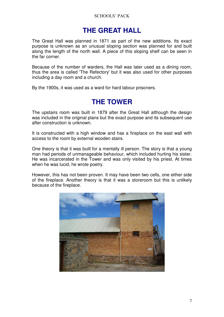### **THE GREAT HALL**

The Great Hall was planned in 1871 as part of the new additions. Its exact purpose is unknown as an unusual sloping section was planned for and built along the length of the north wall. A piece of this sloping shelf can be seen in the far corner.

Because of the number of warders, the Hall was later used as a dining room, thus the area is called 'The Refectory' but it was also used for other purposes including a day room and a church.

By the 1900s, it was used as a ward for hard labour prisoners.

#### **THE TOWER**

The upstairs room was built in 1879 after the Great Hall although the design was included in the original plans but the exact purpose and its subsequent use after construction is unknown.

It is constructed with a high window and has a fireplace on the east wall with access to the room by external wooden stairs.

One theory is that it was built for a mentally ill person. The story is that a young man had periods of unmanageable behaviour, which included hurting his sister. He was incarcerated in the Tower and was only visited by his priest. At times when he was lucid, he wrote poetry.

However, this has not been proven. It may have been two cells, one either side of the fireplace. Another theory is that it was a storeroom but this is unlikely because of the fireplace.

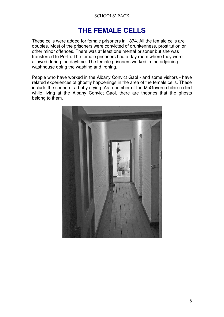## **THE FEMALE CELLS**

These cells were added for female prisoners in 1874. All the female cells are doubles. Most of the prisoners were convicted of drunkenness, prostitution or other minor offences. There was at least one mental prisoner but she was transferred to Perth. The female prisoners had a day room where they were allowed during the daytime. The female prisoners worked in the adjoining washhouse doing the washing and ironing.

People who have worked in the Albany Convict Gaol - and some visitors - have related experiences of ghostly happenings in the area of the female cells. These include the sound of a baby crying. As a number of the McGovern children died while living at the Albany Convict Gaol, there are theories that the ghosts belong to them.

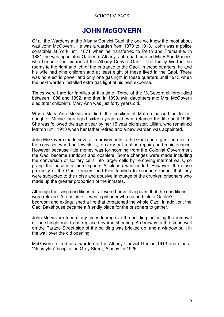#### **JOHN McGOVERN**

Of all the Wardens at the Albany Convict Gaol, the one we know the most about was John McGovern. He was a warden from 1879 to 1913. John was a police constable at York until 1871 when he transferred to Perth and Fremantle. In 1881, he was appointed Gaoler at Albany. John had married Mary Ann Mannix, who became the matron at the Albany Convict Gaol. The family lived in the rooms to the right and left of the entrance to the Gaol. In these quarters, he and his wife had nine children and at least eight of these lived in the Gaol. There was no electric power and only one gas light in these quarters until 1913 when the next warden installed extra gas light at his own expense.

Times were hard for families at this time. Three of the McGovern children died between 1886 and 1892, and then in 1899, twin daughters and Mrs. McGovern died after childbirth. Mary Ann was just forty years old.

When Mary Ann McGovern died, the position of Matron passed on to her daughter Minnie then aged sixteen years old, who retained the title until 1905. She was followed the same year by her 15 year old sister, Lillian, who remained Matron until 1913 when her father retired and a new warden was appointed.

John McGovern made several improvements to the Gaol and organized most of the convicts, who had few skills, to carry out routine repairs and maintenance. However because little money was forthcoming from the Colonial Government the Gaol became rundown and obsolete. Some changes were made including the conversion of solitary cells into larger cells by removing internal walls, so giving the prisoners more space. A kitchen was added. However, the close proximity of the Gaol keepers and their families to prisoners meant that they were subjected to the noise and abusive language of the drunken prisoners who made up the greater proportion of the inmates.

Although the living conditions for all were harsh, it appears that the conditions were relaxed. At one time, it was a prisoner who rushed into a Gaoler's bedroom and extinguished a fire that threatened the whole Gaol. In addition, the Gaol Bakehouse became a friendly place for the prisoners to gather.

John McGovern tried many times to improve the building including the removal of the shingle roof to be replaced by iron sheeting. A doorway in the stone wall on the Parade Street side of the building was bricked up, and a window built in the wall over the old opening.

McGovern retired as a warden of the Albany Convict Gaol in 1913 and died at "Neumylda" hospital on Grey Street, Albany, in 1926.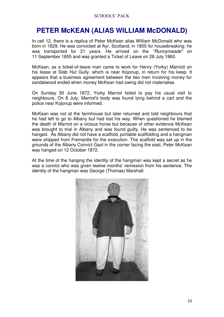## **PETER McKEAN (ALIAS WILLIAM McDONALD)**

In cell 12, there is a replica of Peter McKean alias William McDonald who was born in 1829. He was convicted at Ayr, Scotland, in 1855 for housebreaking; he was transported for 21 years. He arrived on the *"Runnymeade"* on 11 September 1855 and was granted a Ticket of Leave on 28 July 1860.

McKean, as a ticket-of-leave man came to work for Henry (Yorky) Marriott on his lease at Slab Hut Gully, which is near Kojonup, in return for his keep. It appears that a business agreement between the two men involving money for sandalwood ended when money McKean had owing did not materialise.

On Sunday 30 June 1872, Yorky Marriot failed to pay his usual visit to neighbours. On 8 July, Marriot's body was found lying behind a cart and the police near Kojonup were informed.

McKean was not at the farmhouse but later returned and told neighbours that he had left to go to Albany but had lost his way. When questioned he blamed the death of Marriot on a vicious horse but because of other evidence McKean was brought to trial in Albany and was found guilty. He was sentenced to be hanged. As Albany did not have a scaffold, portable scaffolding and a hangman were shipped from Fremantle for the execution. The scaffold was set up in the grounds of the Albany Convict Gaol in the corner facing the east. Peter McKean was hanged on 12 October 1872.

At the time of the hanging the identity of the hangman was kept a secret as he was a convict who was given twelve months' remission from his sentence. The identity of the hangman was George (Thomas) Marshall.